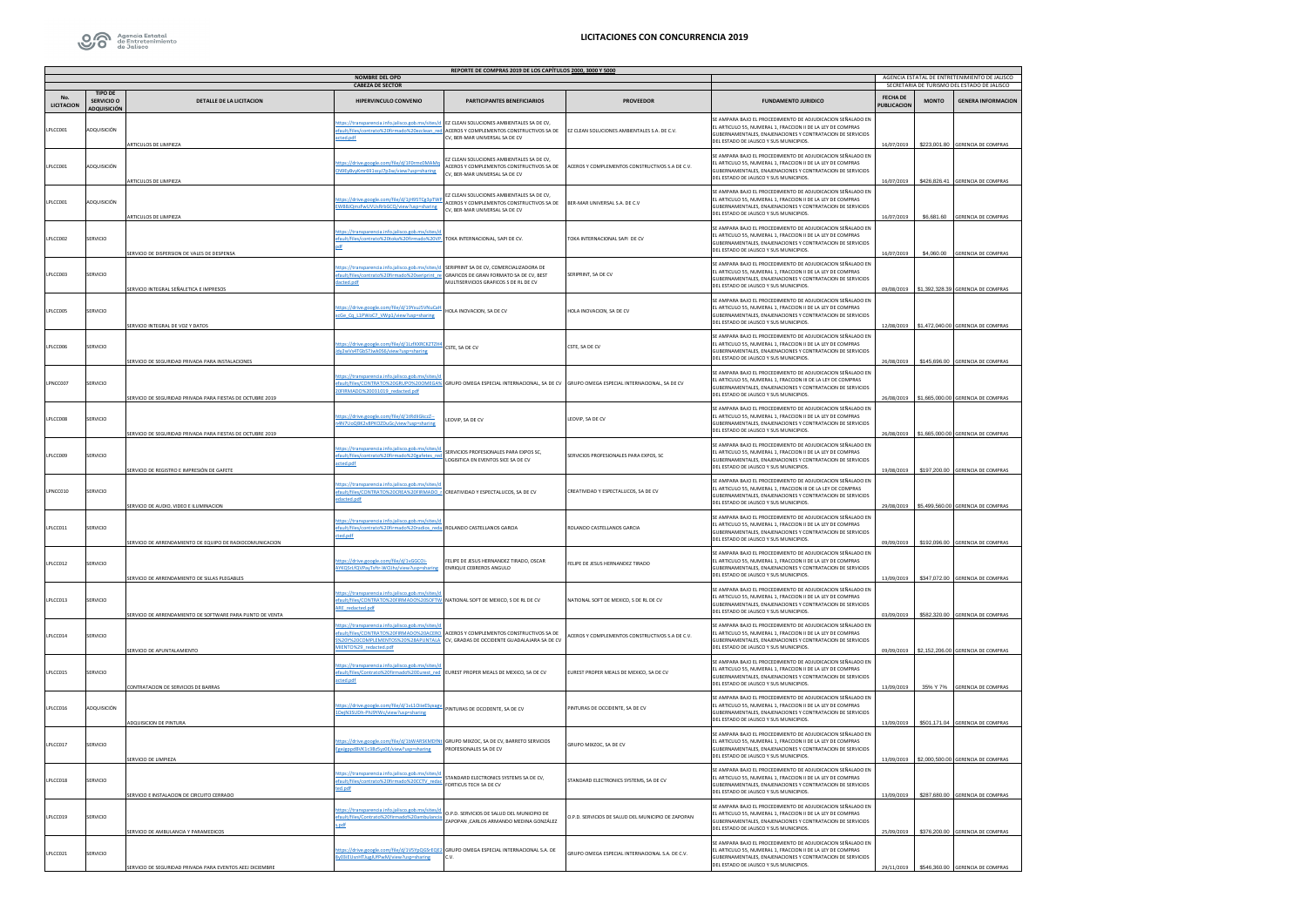

|                                                  |                           |                                                            |                                                                                                                                                        | REPORTE DE COMPRAS 2019 DE LOS CAPÍTULOS 2000, 3000 Y 5000                                                                     |                                                        |                                                                                                                                                                                                                                       |                                       |                                                                                              |                                                   |  |
|--------------------------------------------------|---------------------------|------------------------------------------------------------|--------------------------------------------------------------------------------------------------------------------------------------------------------|--------------------------------------------------------------------------------------------------------------------------------|--------------------------------------------------------|---------------------------------------------------------------------------------------------------------------------------------------------------------------------------------------------------------------------------------------|---------------------------------------|----------------------------------------------------------------------------------------------|---------------------------------------------------|--|
| <b>NOMBRE DEL OPD</b><br><b>CABEZA DE SECTOR</b> |                           |                                                            |                                                                                                                                                        |                                                                                                                                |                                                        |                                                                                                                                                                                                                                       |                                       | AGENCIA ESTATAL DE ENTRETENIMIENTO DE JALISCO<br>SECRETARIA DE TURISMO DEL ESTADO DE JALISCO |                                                   |  |
| No.<br>LICITACION                                | TIPO DE<br>SERVICIO O     | DETAILE DE LA LICITACION                                   | HIPFRVINCULO CONVENIO                                                                                                                                  | PARTICIPANTES BENEFICIARIOS                                                                                                    | <b>PROVEFDOR</b>                                       | <b>FUNDAMENTO JURIDICO</b>                                                                                                                                                                                                            | <b>FECHA DE</b><br><b>PUBLICACION</b> | <b>MONTO</b>                                                                                 | <b>GENERA INFORMACION</b>                         |  |
| PLCC001                                          | ADQUISICIÓN<br>DOUISICIÓN | RTICULOS DE LIMPIEZA                                       | tps://transparencia.info.jalisco.gob.mx/sites/<br>fault/files/contrato%20firmado%20ezclean_red<br>cted.pdf                                             | EZ CLEAN SOLUCIONES AMBIENTALES SA DE CV.<br>ACEROS Y COMPLEMENTOS CONSTRUCTIVOS SA DE<br>V, BER-MAR UNIVERSAL SA DE CV        | EZ CLEAN SOLUCIONES AMBIENTALES S.A. DE C.V.           | SE AMPARA BAJO EL PROCEDIMIENTO DE ADJUDICACION SEÑALADO EN<br>EL ARTICULO 55, NUMERAL 1, FRACCION II DE LA LEY DE COMPRAS<br>GUBERNAMENTALES. ENAJENACIONES Y CONTRATACION DE SERVICIOS<br>DEL ESTADO DE JALISCO Y SUS MUNICIPIOS.   | 16/07/2019                            |                                                                                              | \$223,001.80 GERENCIA DE COMPRAS                  |  |
| LPLCC001                                         | ADQUISICIÓN               | ARTICULOS DE LIMPIEZA                                      | ttps://drive.google.com/file/d/1F0rmc0MAM<br>N9EvByvKmr691ssyJ7p3w/view?usp=sharing                                                                    | EZ CLEAN SOLUCIONES AMBIENTALES SA DE CV,<br>ACEROS Y COMPLEMENTOS CONSTRUCTIVOS SA DE<br>V. BER-MAR UNIVERSAL SA DE CV        | <b>ACEROS Y COMPLEMENTOS CONSTRUCTIVOS S.A DE C.V.</b> | SE AMPARA BAJO EL PROCEDIMIENTO DE ADJUDICACION SEÑALADO EN<br>EL ARTICULO 55. NUMERAL 1. FRACCION II DE LA LEY DE COMPRAS<br>GUBERNAMENTALES, ENAJENACIONES Y CONTRATACION DE SERVICIOS<br>DEL ESTADO DE JALISCO Y SUS MUNICIPIOS.   |                                       |                                                                                              | 16/07/2019 \$426,826.41 GERENCIA DE COMPRAS       |  |
| LPLCC001                                         | ADQUISICIÓN               | ARTICULOS DE LIMPIEZA                                      | ttps://drive.google.com/file/d/1jH95TCg3pTV<br>VBBJQmzFwUVUsRrbGCQ/view?usp=sharing                                                                    | EZ CLEAN SOLUCIONES AMBIENTALES SA DE CV.<br>ACEROS Y COMPLEMENTOS CONSTRUCTIVOS SA DE<br>CV, BER-MAR UNIVERSAL SA DE CV       | BER-MAR UNIVERSAL S.A. DE C.V                          | SE AMPARA BAJO EL PROCEDIMIENTO DE ADJUDICACION SEÑALADO EN<br>EL ARTICULO 55, NUMERAL 1, FRACCION II DE LA LEY DE COMPRAS<br>GUBERNAMENTALES, ENAJENACIONES Y CONTRATACION DE SERVICIOS<br>DEL ESTADO DE JALISCO Y SUS MUNICIPIOS.   | 16/07/2019                            | \$6,681.60                                                                                   | <b>GERENCIA DE COMPRAS</b>                        |  |
| PLCC002                                          | ERVICIO                   | ERVICIO DE DISPERSION DE VALES DE DESPENSA                 | tps://transparencia.info.jalisco.gob.mx/sites<br>fault/files/contrato%20toka%20firmado%20\                                                             | TOKA INTERNACIONAL, SAPI DE CV.                                                                                                | OKA INTERNACIONAL SAPI DE CV                           | SE AMPARA BAJO EL PROCEDIMIENTO DE ADJUDICACION SEÑALADO EN<br>EL ARTICULO 55, NUMERAL 1, FRACCION II DE LA LEY DE COMPRAS<br>GUBERNAMENTALES, ENAJENACIONES Y CONTRATACION DE SERVICIOS<br>DEL ESTADO DE JALISCO Y SUS MUNICIPIOS.   | 16/07/2019                            | \$4,060.00                                                                                   | <b>GERENCIA DE COMPRAS</b>                        |  |
| <b>PLCCDD3</b>                                   | SERVICIO                  | SERVICIO INTEGRAL SEÑALETICA E IMPRESOS                    | ttps://transparencia.info.jalisco.gob.mx/sites/d SERIPRINT SA DE CV, COMERCIALIZADORA DE<br>fault/files/contrato%20firmado%20seriprint_re<br>acted.pdf | <b>GRAFICOS DE GRAN FORMATO SA DE CV. REST</b><br>MULTISERVICIOS GRAFICOS S DE RL DE CV                                        | <b><i>FRIPRINT SA DECV</i></b>                         | SE AMPARA BAJO EL PROCEDIMIENTO DE ADJUDICACION SEÑALADO EN<br>EL ARTICULO 55, NUMERAL 1, FRACCION II DE LA LEY DE COMPRAS<br>GUBERNAMENTALES, ENAJENACIONES Y CONTRATACION DE SERVICIOS<br>DEL ESTADO DE JALISCO Y SUS MUNICIPIOS    |                                       |                                                                                              | 09/08/2019 \$1,392,328.39 GERENCIA DE COMPRAS     |  |
| LPLCCD05                                         | SERVICIO                  | <b>SERVICIO INTEGRAL DE VOZ Y DATOS</b>                    | ttps://drive.google.com/file/d/19YxuJ5VNuCaH<br>cGe Cq L1PWoC7 VWp1/view?usp=sharing                                                                   | HOLA INOVACION, SA DE CV                                                                                                       | HOLA INOVACION, SA DE CV                               | SE AMPARA BAJO EL PROCEDIMIENTO DE ADJUDICACION SEÑALADO EN<br>FLARTICULO 55 NUMERAL 1. FRACCION ILDE LA LEY DE COMPRAS<br>GUBERNAMENTALES, ENAJENACIONES Y CONTRATACION DE SERVICIOS<br>DEL ESTADO DE JALISCO Y SUS MUNICIPIOS.      |                                       |                                                                                              | 12/08/2019 \$1,472,040.00 GERENCIA DE COMPRAS     |  |
| PLCC006                                          | ERVICIO                   | SERVICIO DE SEGURIDAD PRIVADA PARA INSTALACIONES           | ps://drive.google.com/file/d/1LzfXXRCKZTZ<br>dy2wVs4TGbS7Jwk0S6/view?usp=sharing                                                                       | CSTE. SA DE CV                                                                                                                 | CSTE, SA DE CV                                         | SE AMPARA BAJO EL PROCEDIMIENTO DE ADJUDICACION SEÑALADO EN<br>EL ARTICULO 55, NUMERAL 1, FRACCION II DE LA LEY DE COMPRAS<br>GUBERNAMENTALES. ENAJENACIONES Y CONTRATACION DE SERVICIOS<br>DEL ESTADO DE JALISCO Y SUS MUNICIPIOS.   | 26/08/2019                            |                                                                                              | \$145,696.00 GERENCIA DE COMPRAS                  |  |
| PNCC007                                          | SERVICIO                  | SERVICIO DE SEGURIDAD PRIVADA PARA FIESTAS DE OCTUBRE 2019 | ttps://transparencia.info.jalisco.gob.mx/sites/<br>OFIRMADO%20031019 redacted.pdf                                                                      | ault/files/CONTRATO%20GRUPO%20OMEGA% GRUPO OMEGA ESPECIAL INTERNACIONAL, SA DE CV GRUPO OMEGA ESPECIAL INTERNACIONAL, SA DE CV |                                                        | SE AMPARA RAIO EL PROCEDIMIENTO DE ADILIDICACIÓN SEÑALADO EN<br>EL ARTICULO 55. NUMERAL 1. FRACCION III DE LA LEY DE COMPRAS<br>GUBERNAMENTALES, ENAJENACIONES Y CONTRATACION DE SERVICIOS<br>DEL ESTADO DE JALISCO Y SUS MUNICIPIOS. |                                       |                                                                                              | 26/08/2019 \$1,665,000.00 GERENCIA DE COMPRAS     |  |
| LPLCCD08                                         | SERVICIO                  | SERVICIO DE SEGURIDAD PRIVADA PARA FIESTAS DE OCTUBRE 2019 | ttps://drive.google.com/file/d/1tRdliGkczZ--<br>4N7UoQBK2v8PKOZDuGc/view?usp=sharing                                                                   | LEOVIP, SA DE CV                                                                                                               | LEOVIP, SA DE CV                                       | SE AMPARA BAJO EL PROCEDIMIENTO DE ADJUDICACION SEÑALADO EN<br>EL ARTICULO 55, NUMERAL 1, FRACCION II DE LA LEY DE COMPRAS<br>GUBERNAMENTALES, ENAJENACIONES Y CONTRATACION DE SERVICIOS<br>DEL ESTADO DE JALISCO Y SUS MUNICIPIOS.   |                                       |                                                                                              | 26/08/2019 S1.665.000.00 GERENCIA DE COMPRAS      |  |
| PLCCD09                                          | ERVICIO                   | ERVICIO DE REGISTRO E IMPRESIÓN DE GAFETE                  | tps://transparencia.info.jalisco.gob.mx/site<br>efault/files/contrato%20firmado%20gafetes_red<br>cted.pdf                                              | <b>ERVICIOS PROFESIONALES PARA EXPOS SC.</b><br>OGISITICA EN EVENTOS SICE SA DE CV                                             | ERVICIOS PROFESIONALES PARA EXPOS, SC                  | SE AMPARA BAJO EL PROCEDIMIENTO DE ADJUDICACION SEÑALADO EN<br>EL ARTICULO 55, NUMERAL 1, FRACCION II DE LA LEY DE COMPRAS<br>GURERNAMENTALES, ENAIENACIONES Y CONTRATACION DE SERVICIOS<br>DEL ESTADO DE JALISCO Y SUS MUNICIPIOS.   | 19/08/2019                            |                                                                                              | \$197,200.00 GERENCIA DE COMPRAS                  |  |
| PNCC010                                          | SERVICIO                  | SERVICIO DE AUDIO, VIDEO E ILUMINACION                     | ttps://transparencia.info.jalisco.gob.mx/sites/<br>fault/files/CONTRATO%20CREA%20FIRMADO r CREATIVIDAD Y ESPECTALUCOS, SA DE CV<br>tacted.pdf          |                                                                                                                                | CREATIVIDAD Y ESPECTALUCOS. SA DE CV                   | SE AMPARA BAJO EL PROCEDIMIENTO DE ADJUDICACIÓN SEÑALADO EN<br>EL ARTICULO 55, NUMERAL 1, FRACCION III DE LA LEY DE COMPRAS<br>GUBERNAMENTALES, ENAJENACIONES Y CONTRATACION DE SERVICIOS<br>DEL ESTADO DE JALISCO Y SUS MUNICIPIOS   |                                       |                                                                                              | 29/08/2019 \$5,499,560.00 GERENCIA DE COMPRAS     |  |
| LPLCC011                                         | SERVICIO                  | SERVICIO DE ARRENDAMIENTO DE EQUIPO DE RADIOCOMUNICACION   | ttps://transparencia.info.jalisco.gob.mx/sites/<br>ault/files/contrato%20firmado%20radios reda<br>ted.pdf                                              | ROLANDO CASTELLANOS GARCIA                                                                                                     | <b>ROLANDO CASTELLANOS GARCIA</b>                      | SE AMPARA BAJO EL PROCEDIMIENTO DE ADJUDICACION SEÑALADO EN<br>EL ARTICULO 55, NUMERAL 1, FRACCION II DE LA LEY DE COMPRAS<br>GUBERNAMENTALES, ENAJENACIONES Y CONTRATACION DE SERVICIOS<br>DEL ESTADO DE JALISCO Y SUS MUNICIPIOS.   | 09/09/2019                            |                                                                                              | \$192,096.00 GERENCIA DE COMPRAS                  |  |
| PLCC012                                          | ERVICIO                   | SERVICIO DE ARRENDAMIENTO DE SILLAS PLEGABLES              | ttps://drive.google.com/file/d/1vGGCOi-<br>VKQSrLfQVPayTsftr-WCUhz/view?usp=sharing                                                                    | FELIPE DE JESUS HERNANDEZ TIRADO, OSCAR<br>ENRIQUE CEBREROS ANGULO                                                             | ELIPE DE JESUS HERNANDEZ TIRADO                        | SE AMPARA BAJO EL PROCEDIMIENTO DE ADJUDICACION SEÑALADO EN<br>EL ARTICULO 55, NUMERAL 1, FRACCION II DE LA LEY DE COMPRAS<br>GUBERNAMENTALES. ENAJENACIONES Y CONTRATACION DE SERVICIOS<br>DEL ESTADO DE JALISCO Y SUS MUNICIPIOS.   | 13/09/2019                            |                                                                                              | \$347,072.00 GERENCIA DE COMPRAS                  |  |
| LPLCC013                                         | SERVICIO                  | SERVICIO DE ARRENDAMIENTO DE SOFTWARE PARA PUNTO DE VENTA  | ttps://transparencia.info.jalisco.gob.mx/sites/<br>ault/files/CONTRATO%20FIRMADO%20SOFTW. NATIONAL SOFT DE MEXICO, S DE RL DE CV<br>RE redacted.pdf    |                                                                                                                                | NATIONAL SOFT DE MEXICO. S DE RL DE CV                 | SE AMPARA BAJO EL PROCEDIMIENTO DE ADJUDICACION SEÑALADO EN<br>EL ARTICULO 55. NUMERAL 1. FRACCION II DE LA LEY DE COMPRAS<br>GUBERNAMENTALES, ENAJENACIONES Y CONTRATACION DE SERVICIOS<br>DEL ESTADO DE JALISCO Y SUS MUNICIPIOS    |                                       |                                                                                              | 03/09/2019 \$582,320.00 GERENCIA DE COMPRAS       |  |
| LPLCCD14                                         | SERVICIO                  | SERVICIO DE APUNTALAMIENTO                                 | ttps://transparencia.info.jalisco.gob.mx/sites<br>ault/files/CONTRATO%20FIRMADO%20ACERO<br>%20Y%20COMPLEMENTOS%20%28APUNTALA<br>AIENTO%29 redacted.odf | CEROS Y COMPLEMENTOS CONSTRUCTIVOS SA DE<br>CV, GRADAS DE OCCIDENTE GUADALAJARA SA DE CV                                       | ACEROS Y COMPLEMENTOS CONSTRUCTIVOS S.A DE C.V.        | SE AMPARA BAJO EL PROCEDIMIENTO DE ADJUDICACION SEÑALADO EN<br>EL ARTICULO 55, NUMERAL 1, FRACCION II DE LA LEY DE COMPRAS<br>GUBERNAMENTALES, ENAJENACIONES Y CONTRATACION DE SERVICIOS<br>DEL ESTADO DE JALISCO Y SUS MUNICIPIOS.   |                                       |                                                                                              | 09/09/2019 S2.152.206.00 GERENCIA DE COMPRAS      |  |
| PLCC015                                          | ERVICIO                   | ONTRATACION DE SERVICIOS DE BARRAS                         | ttps://transparencia.info.jalisco.gob.mx/sites/<br>Fault/files/Contrato%20firmado%20Eurest_red EUREST PROPER MEALS DE MEXICO, SA DE CV<br>cted.pdf     |                                                                                                                                | UREST PROPER MEALS DE MEXICO, SA DE CV                 | SE AMPARA BAJO EL PROCEDIMIENTO DE ADJUDICACION SEÑALADO EN<br>EL ARTICULO 55, NUMERAL 1, FRACCION II DE LA LEY DE COMPRAS<br>GUBERNAMENTALES. ENAJENACIONES Y CONTRATACION DE SERVICIOS<br>DEL ESTADO DE JALISCO Y SUS MUNICIPIOS.   | 13/09/2019                            | 35% Y 7%                                                                                     | <b>GERENCIA DE COMPRAS</b>                        |  |
| LPLCC016                                         | ADQUISICIÓN               | ADQUISICION DE PINTURA                                     | ttps://drive.google.com/file/d/1vL1OiieESyxa<br>DejN3SUDh-PhJ9YWc/view?usp=sharing                                                                     | PINTURAS DE OCCIDENTE, SA DE CV                                                                                                | INTURAS DE OCCIDENTE, SA DE CV                         | SE AMPARA RAIO EL PROCEDIMIENTO DE ADILIDICACIÓN SEÑALADO EN<br>EL ARTICULO 55. NUMERAL 1. FRACCION II DE LA LEY DE COMPRAS<br>GUBERNAMENTALES, ENAJENACIONES Y CONTRATACION DE SERVICIOS<br>DEL ESTADO DE JALISCO Y SUS MUNICIPIOS.  |                                       |                                                                                              | 13/09/2019    \$501,171.04    GERENCIA DE COMPRAS |  |
| LPLCCD17                                         | SERVICIO                  | SERVICIO DE LIMPIEZA                                       | ttps://drive.google.com/file/d/1bWARSKMDfM<br>geJgppdBVK1c3Bz5vz0E/view?usp=sharing                                                                    | GRUPO MIXZOC, SA DE CV, BARRETO SERVICIOS<br>PROFESIONALES SA DE CV                                                            | GRUPO MIXZOC, SA DE CV                                 | SE AMPARA BAJO EL PROCEDIMIENTO DE ADJUDICACION SEÑALADO EN<br>EL ARTICULO 55. NUMERAL 1. FRACCION II DE LA LEY DE COMPRAS<br>GUBERNAMENTALES, ENAJENACIONES Y CONTRATACION DE SERVICIOS<br>DEL ESTADO DE JALISCO Y SUS MUNICIPIOS.   |                                       |                                                                                              | 13/09/2019 \$2,000,500.00 GERENCIA DE COMPRAS     |  |
| PLCC018                                          | ERVICIO                   | SERVICIO E INSTALACION DE CIRCUITO CERRADO                 | tps://transparencia.info.jalisco.gob.mx/sites<br>fault/files/contrato%20firmado%20CCTV red<br>ed.odf                                                   | TANDARD ELECTRONICS SYSTEMS SA DE CV,<br>ORTICUS TECH SA DE CV                                                                 | TANDARD ELECTRONICS SYSTEMS, SA DE CV                  | SE AMPARA BAJO EL PROCEDIMIENTO DE ADJUDICACION SEÑALADO EN<br>EL ARTICULO 55, NUMERAL 1, FRACCION II DE LA LEY DE COMPRAS<br>GUBERNAMENTALES, ENAJENACIONES Y CONTRATACION DE SERVICIOS<br>DEL ESTADO DE JALISCO Y SUS MUNICIPIOS.   | 13/09/2019                            |                                                                                              | \$287,680.00 GERENCIA DE COMPRAS                  |  |
| PICC019                                          | SERVICIO                  | SERVICIO DE AMBULANCIA Y PARAMEDICOS                       | ttps://transparencia.info.jalisco.gob.mx/sites/<br>fault/files/Contrato%20firmado%20ambuland<br>hba                                                    | D.P.D. SERVICIOS DE SALUD DEL MUNICIPIO DE<br>CARLOS ARMANDO MEDINA GONZÁLEZ                                                   | LP D. SERVICIOS DE SALLID DEL MUNICIPIO DE ZAPOPAN     | SE AMPARA BAJO EL PROCEDIMIENTO DE ADJUDICACION SEÑALADO EN<br>EL ARTICULO 55, NUMERAL 1, FRACCION II DE LA LEY DE COMPRAS<br>GUBERNAMENTALES, ENAJENACIONES Y CONTRATACION DE SERVICIOS<br>DEL ESTADO DE JALISCO Y SUS MUNICIPIOS    |                                       |                                                                                              | 25/09/2019 \$376,200.00 GERENCIA DE COMPRAS       |  |
| LPLCCD21                                         | SERVICIO                  | SERVICIO DE SEGURIDAD PRIVADA PARA EVENTOS AEEJ DICIEMBRE  | v03iEUsnHTJugJUfPwM/view?usp=sharing                                                                                                                   | https://drive.google.com/file/d/1V5YpQGSrEQE2 GRUPO OMEGA ESPECIAL INTERNACIONAL S.A. DE                                       | SRUPO OMEGA ESPECIAL INTERNACIONAL S.A. DE C.V.        | SE AMPARA BAJO EL PROCEDIMIENTO DE ADJUDICACION SEÑALADO EN<br>EL ARTICULO 55, NUMERAL 1, FRACCION II DE LA LEY DE COMPRAS<br>GUBERNAMENTALES. ENAJENACIONES Y CONTRATACION DE SERVICIOS<br>DEL ESTADO DE JALISCO Y SUS MUNICIPIOS.   |                                       |                                                                                              | 29/11/2019 \$546,360.00 GERENCIA DE COMPRAS       |  |